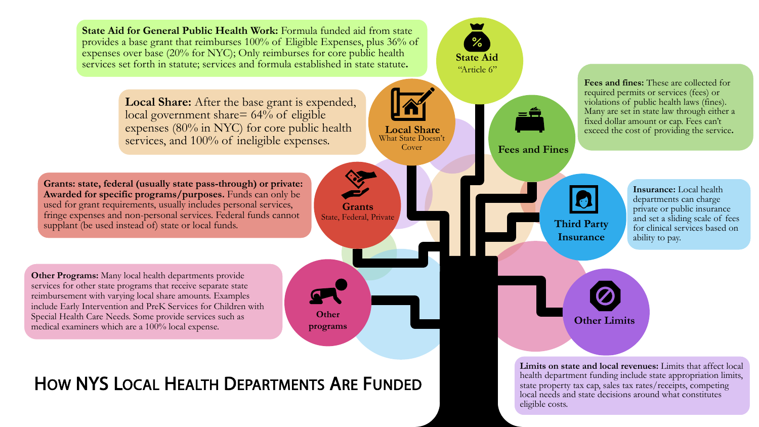